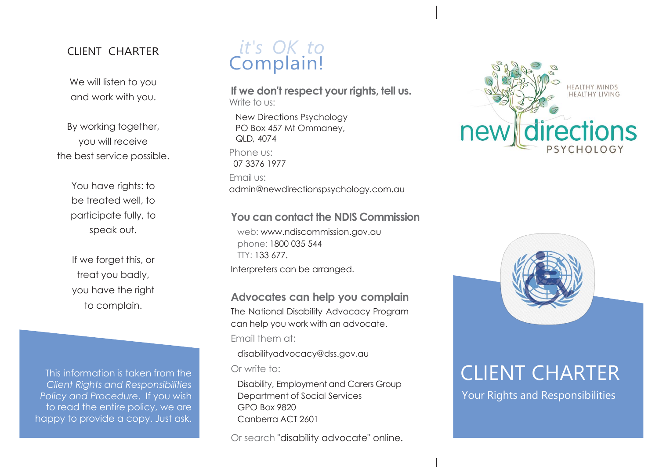#### CLIENT CHARTER

We will listen to you and work with you.

By working together, you will receive the best service possible.

> You have rights: to be treated well, to participate fully, to speak out.

If we forget this, or treat you badly, you have the right to complain.

This information is taken from the *Client Rights and Responsibilities Policy and Procedure*. If you wish to read the entire policy, we are happy to provide a copy. Just ask.

# *it's OK to* Complain!

**If we don't respect your rights, tell us.** Write to us:

New Directions Psychology PO Box 457 Mt Ommaney, QLD, 4074 Phone us: 07 3376 1977 Email us: admin@newdirectionspsychology.com.au

#### **You can contact the NDIS Commission**

web: [www.ndiscommission.gov.au](http://www.ndiscommission.gov.au/)  phone: 1800 035 544 TTY: 133 677. Interpreters can be arranged.

**Advocates can help you complain**  The National Disability Advocacy Program can help you work with an advocate. Email them at:

[disabilityadvocacy@dss.gov.au](mailto:disabilityadvocacy@dss.gov.au) Or write to:

Disability, Employment and Carers Group Department of Social Services GPO Box 9820 Canberra ACT 2601

Or search "disability advocate" online.





# CLIENT CHARTER

Your Rights and Responsibilities